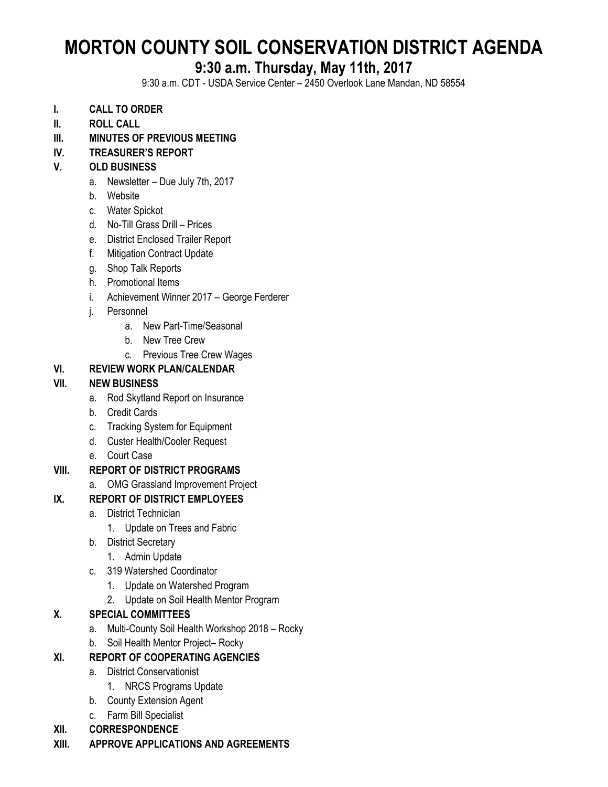# **MORTON COUNTY SOIL CONSERVATION DISTRICT AGENDA**

# **9:30 a.m. Thursday, May 11th, 2017**

9:30 a.m. CDT - USDA Service Center – 2450 Overlook Lane Mandan, ND 58554

- **I. CALL TO ORDER**
- **II. ROLL CALL**
- **III. MINUTES OF PREVIOUS MEETING**

#### **IV. TREASURER'S REPORT**

#### **V. OLD BUSINESS**

- a. Newsletter Due July 7th, 2017
- b. Website
- c. Water Spickot
- d. No-Till Grass Drill Prices
- e. District Enclosed Trailer Report
- f. Mitigation Contract Update
- g. Shop Talk Reports
- h. Promotional Items
- i. Achievement Winner 2017 George Ferderer
- j. Personnel
	- a. New Part-Time/Seasonal
	- b. New Tree Crew
	- c. Previous Tree Crew Wages

#### **VI. REVIEW WORK PLAN/CALENDAR**

#### **VII. NEW BUSINESS**

- a. Rod Skytland Report on Insurance
- b. Credit Cards
- c. Tracking System for Equipment
- d. Custer Health/Cooler Request
- e. Court Case

# **VIII. REPORT OF DISTRICT PROGRAMS**

a. OMG Grassland Improvement Project

# **IX. REPORT OF DISTRICT EMPLOYEES**

- a. District Technician
	- 1. Update on Trees and Fabric
- b. District Secretary
	- 1. Admin Update
- c. 319 Watershed Coordinator
	- 1. Update on Watershed Program
	- 2. Update on Soil Health Mentor Program

# **X. SPECIAL COMMITTEES**

- a. Multi-County Soil Health Workshop 2018 Rocky
- b. Soil Health Mentor Project– Rocky

# **XI. REPORT OF COOPERATING AGENCIES**

- a. District Conservationist
	- 1. NRCS Programs Update
- b. County Extension Agent
- c. Farm Bill Specialist
- **XII. CORRESPONDENCE**
- **XIII. APPROVE APPLICATIONS AND AGREEMENTS**